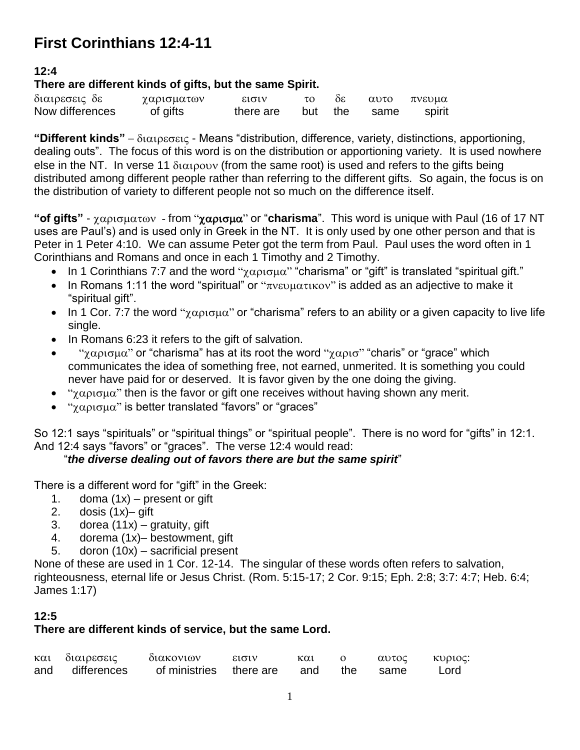# **First Corinthians 12:4-11**

## **12:4**

## **There are different kinds of gifts, but the same Spirit.**

| διαιρεσεις δε   | χαρισματων | εισιν     |     | 36          |      | αυτο πνευμα |
|-----------------|------------|-----------|-----|-------------|------|-------------|
| Now differences | of gifts   | there are | but | $\cdot$ the | same | spirit      |

"Different kinds"  $-\delta t \alpha t \beta \epsilon c \epsilon t \zeta$  - Means "distribution, difference, variety, distinctions, apportioning, dealing outs". The focus of this word is on the distribution or apportioning variety. It is used nowhere else in the NT. In verse 11  $\delta$  $\alpha$  $\beta$  $\beta$  $\gamma$  (from the same root) is used and refers to the gifts being distributed among different people rather than referring to the different gifts. So again, the focus is on the distribution of variety to different people not so much on the difference itself.

"**of gifts**" - χαρισματων - from "χαρισμα" or "charisma". This word is unique with Paul (16 of 17 NT uses are Paul's) and is used only in Greek in the NT. It is only used by one other person and that is Peter in 1 Peter 4:10. We can assume Peter got the term from Paul. Paul uses the word often in 1 Corinthians and Romans and once in each 1 Timothy and 2 Timothy.

- In 1 Corinthians 7:7 and the word " $\chi \alpha \rho_1 \sigma_2 \mu \alpha$ " "charisma" or "gift" is translated "spiritual gift."
- In Romans 1:11 the word "spiritual" or " $\pi v \in \mathbb{R}$  is added as an adjective to make it "spiritual gift".
- In 1 Cor. 7:7 the word " $\chi \alpha \rho \iota \sigma \mu \alpha$ " or "charisma" refers to an ability or a given capacity to live life single.
- In Romans 6:23 it refers to the gift of salvation.
- "χαρισμα" or "charisma" has at its root the word "χαρισ" "charis" or "grace" which communicates the idea of something free, not earned, unmerited. It is something you could never have paid for or deserved. It is favor given by the one doing the giving.
- " $\gamma \alpha \rho_1 \sigma_2 \mu \alpha$ " then is the favor or gift one receives without having shown any merit.
- " γαρισμα" is better translated "favors" or "graces"

So 12:1 says "spirituals" or "spiritual things" or "spiritual people". There is no word for "gifts" in 12:1. And 12:4 says "favors" or "graces". The verse 12:4 would read:

# "*the diverse dealing out of favors there are but the same spirit*"

There is a different word for "gift" in the Greek:

- 1. doma  $(1x)$  present or gift
- 2. dosis (1x)– gift
- 3. dorea  $(11x)$  gratuity, gift
- 4. dorema (1x)– bestowment, gift
- 5. doron (10x) sacrificial present

None of these are used in 1 Cor. 12-14. The singular of these words often refers to salvation, righteousness, eternal life or Jesus Christ. (Rom. 5:15-17; 2 Cor. 9:15; Eph. 2:8; 3:7: 4:7; Heb. 6:4; James 1:17)

## **12:5**

## **There are different kinds of service, but the same Lord.**

| και διαιρεσεις  | διακονιων                            | $E1 \sigma 1$ | και |  | αυτος κυριος: |
|-----------------|--------------------------------------|---------------|-----|--|---------------|
| and differences | of ministries there are and the same |               |     |  | Lord          |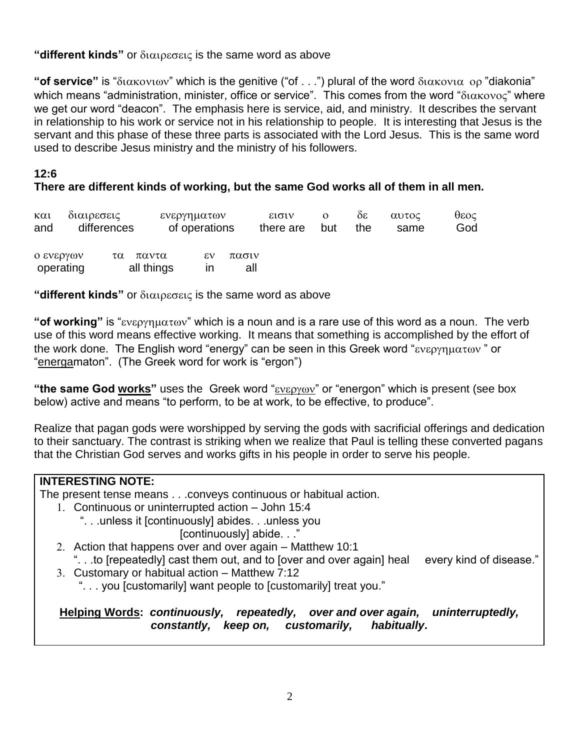## **"different kinds"** or διαιρεσεις is the same word as above

" **of service**" is " $\delta$ ιακονιων" which is the genitive ("of . . .") plural of the word  $\delta$ ιακονια ορ "diakonia" which means "administration, minister, office or service". This comes from the word " $\delta$ ιακονος" where we get our word "deacon". The emphasis here is service, aid, and ministry. It describes the servant in relationship to his work or service not in his relationship to people. It is interesting that Jesus is the servant and this phase of these three parts is associated with the Lord Jesus. This is the same word used to describe Jesus ministry and the ministry of his followers.

#### **12:6**

## **There are different kinds of working, but the same God works all of them in all men.**

| $\kappa \alpha$<br>and | διαιρεσεις | differences |                     | ενεργηματων<br>of operations |              | εισιν<br>there are | but | ðε<br>the | αυτος<br>same | θεος<br>God |
|------------------------|------------|-------------|---------------------|------------------------------|--------------|--------------------|-----|-----------|---------------|-------------|
| ο ενεργων<br>operating |            | τα          | παντα<br>all things | εv<br>ın                     | πασιν<br>all |                    |     |           |               |             |

"different kinds" or  $\delta$  i $\alpha$  is the same word as above

"**of working**" is "*ενεργηματων*" which is a noun and is a rare use of this word as a noun. The verb use of this word means effective working. It means that something is accomplished by the effort of the work done. The English word "energy" can be seen in this Greek word " $\epsilon v \epsilon \rho \gamma \eta \mu \alpha \tau \omega v$ " or "energamaton". (The Greek word for work is "ergon")

"the same God works" uses the Greek word " $\epsilon v \epsilon \rho y \omega v$ " or "energon" which is present (see box below) active and means "to perform, to be at work, to be effective, to produce".

Realize that pagan gods were worshipped by serving the gods with sacrificial offerings and dedication to their sanctuary. The contrast is striking when we realize that Paul is telling these converted pagans that the Christian God serves and works gifts in his people in order to serve his people.

# **INTERESTING NOTE:**

The present tense means . . .conveys continuous or habitual action.

- 1. Continuous or uninterrupted action John 15:4
	- ". . .unless it [continuously] abides. . .unless you [continuously] abide. . ."
- 2. Action that happens over and over again Matthew 10:1
- ". . .to [repeatedly] cast them out, and to [over and over again] heal every kind of disease."
- 3. Customary or habitual action Matthew 7:12
	- ". . . you [customarily] want people to [customarily] treat you."

**Helping Words:** *continuously, repeatedly, over and over again, uninterruptedly, constantly, keep on, customarily, habitually***.**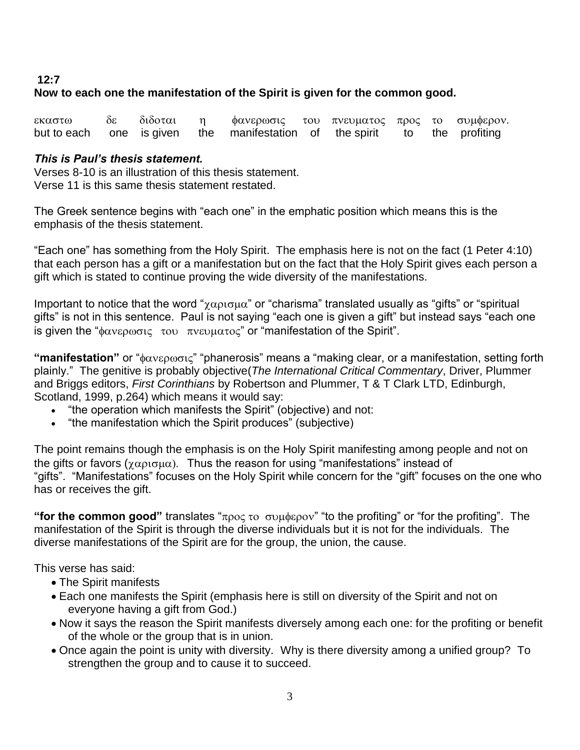#### **12:7 Now to each one the manifestation of the Spirit is given for the common good.**

εκαστω δε διδοται η φανερωσις του πνευματος προς το συμφερον. but to each one is given the manifestation of the spirit to the profiting

#### *This is Paul's thesis statement.*

Verses 8-10 is an illustration of this thesis statement. Verse 11 is this same thesis statement restated.

The Greek sentence begins with "each one" in the emphatic position which means this is the emphasis of the thesis statement.

"Each one" has something from the Holy Spirit. The emphasis here is not on the fact (1 Peter 4:10) that each person has a gift or a manifestation but on the fact that the Holy Spirit gives each person a gift which is stated to continue proving the wide diversity of the manifestations.

Important to notice that the word " $\gamma \alpha \rho_1 \sigma_2 \mu \alpha$ " or "charisma" translated usually as "gifts" or "spiritual gifts" is not in this sentence. Paul is not saying "each one is given a gift" but instead says "each one is given the " $\phi \alpha v \epsilon \rho \omega \sigma v \epsilon$  του πνευματος" or "manifestation of the Spirit".

**"manifestation"** or "φανερωσις" "phanerosis" means a "making clear, or a manifestation, setting forth plainly." The genitive is probably objective(*The International Critical Commentary*, Driver, Plummer and Briggs editors, *First Corinthians* by Robertson and Plummer, T & T Clark LTD, Edinburgh, Scotland, 1999, p.264) which means it would say:

- "the operation which manifests the Spirit" (objective) and not:
- "the manifestation which the Spirit produces" (subjective)

The point remains though the emphasis is on the Holy Spirit manifesting among people and not on the gifts or favors ( $\chi \alpha \rho \iota \sigma \mu \alpha$ ). Thus the reason for using "manifestations" instead of "gifts". "Manifestations" focuses on the Holy Spirit while concern for the "gift" focuses on the one who has or receives the gift.

"**for the common good**" translates " $\pi$ poc to  $\sigma$  undepov" "to the profiting" or "for the profiting". The manifestation of the Spirit is through the diverse individuals but it is not for the individuals. The diverse manifestations of the Spirit are for the group, the union, the cause.

This verse has said:

- The Spirit manifests
- Each one manifests the Spirit (emphasis here is still on diversity of the Spirit and not on everyone having a gift from God.)
- Now it says the reason the Spirit manifests diversely among each one: for the profiting or benefit of the whole or the group that is in union.
- Once again the point is unity with diversity. Why is there diversity among a unified group? To strengthen the group and to cause it to succeed.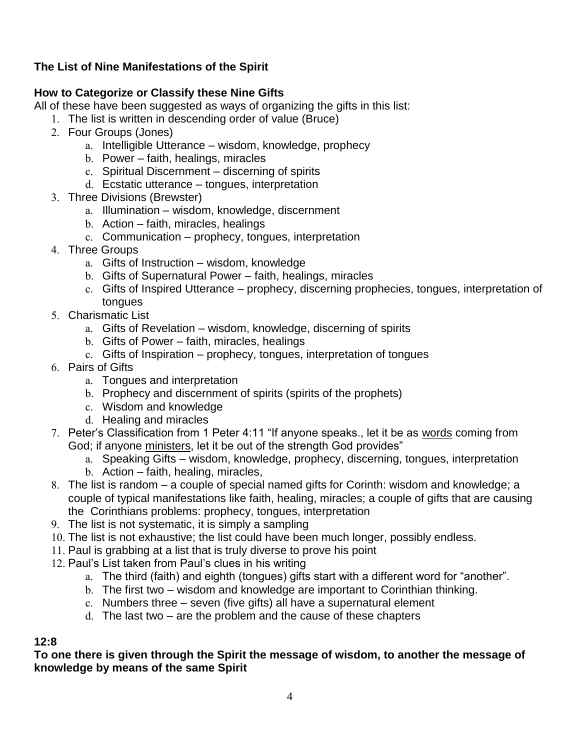# **The List of Nine Manifestations of the Spirit**

## **How to Categorize or Classify these Nine Gifts**

All of these have been suggested as ways of organizing the gifts in this list:

- 1. The list is written in descending order of value (Bruce)
- 2. Four Groups (Jones)
	- a. Intelligible Utterance wisdom, knowledge, prophecy
	- b. Power faith, healings, miracles
	- c. Spiritual Discernment discerning of spirits
	- d. Ecstatic utterance tongues, interpretation
- 3. Three Divisions (Brewster)
	- a. Illumination wisdom, knowledge, discernment
	- b. Action faith, miracles, healings
	- c. Communication prophecy, tongues, interpretation
- 4. Three Groups
	- a. Gifts of Instruction wisdom, knowledge
	- b. Gifts of Supernatural Power faith, healings, miracles
	- c. Gifts of Inspired Utterance prophecy, discerning prophecies, tongues, interpretation of tongues
- 5. Charismatic List
	- a. Gifts of Revelation wisdom, knowledge, discerning of spirits
	- b. Gifts of Power faith, miracles, healings
	- c. Gifts of Inspiration prophecy, tongues, interpretation of tongues
- 6. Pairs of Gifts
	- a. Tongues and interpretation
	- b. Prophecy and discernment of spirits (spirits of the prophets)
	- c. Wisdom and knowledge
	- d. Healing and miracles
- 7. Peter's Classification from 1 Peter 4:11 "If anyone speaks., let it be as words coming from God; if anyone ministers, let it be out of the strength God provides"
	- a. Speaking Gifts wisdom, knowledge, prophecy, discerning, tongues, interpretation b. Action – faith, healing, miracles,
- 8. The list is random a couple of special named gifts for Corinth: wisdom and knowledge; a couple of typical manifestations like faith, healing, miracles; a couple of gifts that are causing the Corinthians problems: prophecy, tongues, interpretation
- 9. The list is not systematic, it is simply a sampling
- 10. The list is not exhaustive; the list could have been much longer, possibly endless.
- 11. Paul is grabbing at a list that is truly diverse to prove his point
- 12. Paul's List taken from Paul's clues in his writing
	- a. The third (faith) and eighth (tongues) gifts start with a different word for "another".
	- b. The first two wisdom and knowledge are important to Corinthian thinking.
	- c. Numbers three seven (five gifts) all have a supernatural element
	- d. The last two are the problem and the cause of these chapters

#### **12:8**

**To one there is given through the Spirit the message of wisdom, to another the message of knowledge by means of the same Spirit**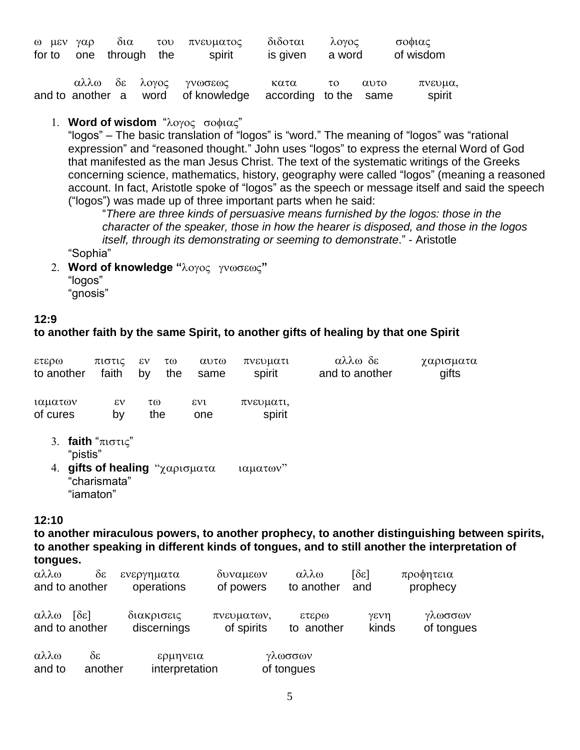|  | for to one through the | ω μεν γαρ δια του πνευματος<br>spirit                       | διδοται λογος<br>is given a word |          |      | σοφιας<br>of wisdom |
|--|------------------------|-------------------------------------------------------------|----------------------------------|----------|------|---------------------|
|  |                        | αλλω δε λογος γνωσεως<br>and to another a word of knowledge | κατα<br>according to the same    | $\tau$ o | αυτο | πνευμα,<br>spirit   |

## 1. **Word of wisdom** "λογος σοφιας"

"logos" – The basic translation of "logos" is "word." The meaning of "logos" was "rational expression" and "reasoned thought." John uses "logos" to express the eternal Word of God that manifested as the man Jesus Christ. The text of the systematic writings of the Greeks concerning science, mathematics, history, geography were called "logos" (meaning a reasoned account. In fact, Aristotle spoke of "logos" as the speech or message itself and said the speech ("logos") was made up of three important parts when he said:

"*There are three kinds of persuasive means furnished by the logos: those in the character of the speaker, those in how the hearer is disposed, and those in the logos itself, through its demonstrating or seeming to demonstrate*." - Aristotle

"Sophia"

2. Word of knowledge "λογος γνωσεως" "logos" "gnosis"

#### **12:9**

#### **to another faith by the same Spirit, to another gifts of healing by that one Spirit**

| ετερω               | πιστις             | εν | τω  | αυτω                | πνευματι            | αλλω δε        | χαρισματα |
|---------------------|--------------------|----|-----|---------------------|---------------------|----------------|-----------|
| to another          | faith              | by | the | same                | spirit              | and to another | gifts     |
| ιαματων<br>of cures | $\epsilon v$<br>b٧ | τω | the | $\epsilon v$<br>one | πνευματι,<br>spirit |                |           |

- 3. **faith** " $\pi$  $\sigma \tau \in$ " "pistis"
- 4. gifts of healing "χαρισματα ιαματων" "charismata" "iamaton"

#### **12:10**

**to another miraculous powers, to another prophecy, to another distinguishing between spirits, to another speaking in different kinds of tongues, and to still another the interpretation of tongues.**

| αλλω           | $\delta \varepsilon$               | ενεργηματα               | δυναμεων   | αλλω                                     | $\lceil \delta \varepsilon \rceil$ | προφητεια  |
|----------------|------------------------------------|--------------------------|------------|------------------------------------------|------------------------------------|------------|
| and to another |                                    | operations               | of powers  | to another                               | and                                | prophecy   |
| αλλω           | $\lceil \delta \varepsilon \rceil$ | διακρισεις               | πνευματων, | 0.0373                                   | γενη                               | γλωσσων    |
| and to another |                                    | discernings              | of spirits | to another                               | kinds                              | of tongues |
| 0.33m          | δc                                 | $c$ <sup>0</sup> $n$ $n$ |            | $v\lambda$ $\omega \sigma \sigma \omega$ |                                    |            |

| αλλω   | ðε      | ερμηνεια       | γλωσσων    |
|--------|---------|----------------|------------|
| and to | another | interpretation | of tongues |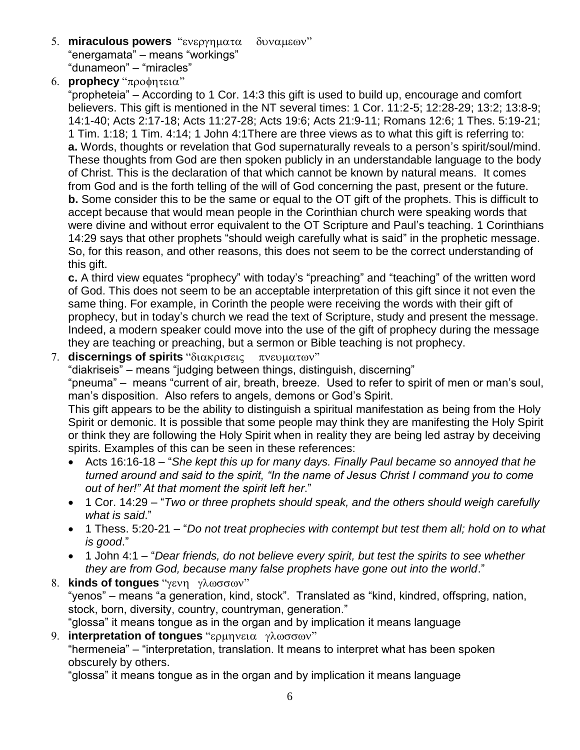- 5. **miraculous powers** "ενεργηματα δυναμεων" "energamata" – means "workings" "dunameon" – "miracles"
- 6. **prophecy** "προφητεια"

"propheteia" – According to 1 Cor. 14:3 this gift is used to build up, encourage and comfort believers. This gift is mentioned in the NT several times: 1 Cor. 11:2-5; 12:28-29; 13:2; 13:8-9; 14:1-40; Acts 2:17-18; Acts 11:27-28; Acts 19:6; Acts 21:9-11; Romans 12:6; 1 Thes. 5:19-21; 1 Tim. 1:18; 1 Tim. 4:14; 1 John 4:1There are three views as to what this gift is referring to: **a.** Words, thoughts or revelation that God supernaturally reveals to a person's spirit/soul/mind. These thoughts from God are then spoken publicly in an understandable language to the body of Christ. This is the declaration of that which cannot be known by natural means. It comes from God and is the forth telling of the will of God concerning the past, present or the future. **b.** Some consider this to be the same or equal to the OT gift of the prophets. This is difficult to accept because that would mean people in the Corinthian church were speaking words that were divine and without error equivalent to the OT Scripture and Paul's teaching. 1 Corinthians 14:29 says that other prophets "should weigh carefully what is said" in the prophetic message. So, for this reason, and other reasons, this does not seem to be the correct understanding of this gift.

**c.** A third view equates "prophecy" with today's "preaching" and "teaching" of the written word of God. This does not seem to be an acceptable interpretation of this gift since it not even the same thing. For example, in Corinth the people were receiving the words with their gift of prophecy, but in today's church we read the text of Scripture, study and present the message. Indeed, a modern speaker could move into the use of the gift of prophecy during the message they are teaching or preaching, but a sermon or Bible teaching is not prophecy.

7. **discernings of spirits** "διακρισεις πνευματων"

"diakriseis" – means "judging between things, distinguish, discerning"

"pneuma" – means "current of air, breath, breeze. Used to refer to spirit of men or man's soul, man's disposition. Also refers to angels, demons or God's Spirit.

This gift appears to be the ability to distinguish a spiritual manifestation as being from the Holy Spirit or demonic. It is possible that some people may think they are manifesting the Holy Spirit or think they are following the Holy Spirit when in reality they are being led astray by deceiving spirits. Examples of this can be seen in these references:

- Acts 16:16-18 "*She kept this up for many days. Finally Paul became so annoyed that he turned around and said to the spirit, "In the name of Jesus Christ I command you to come out of her!" At that moment the spirit left her*."
- 1 Cor. 14:29 "*Two or three prophets should speak, and the others should weigh carefully what is said*."
- 1 Thess. 5:20-21 "*Do not treat prophecies with contempt but test them all; hold on to what is good*."
- 1 John 4:1 "*Dear friends, do not believe every spirit, but test the spirits to see whether they are from God, because many false prophets have gone out into the world*."
- 8. **kinds of tongues** "γενη γλωσσων" "yenos" – means "a generation, kind, stock". Translated as "kind, kindred, offspring, nation, stock, born, diversity, country, countryman, generation." "glossa" it means tongue as in the organ and by implication it means language

9. **interpretation of tongues** "ερμηνεια γλωσσων" "hermeneia" – "interpretation, translation. It means to interpret what has been spoken obscurely by others.

"glossa" it means tongue as in the organ and by implication it means language